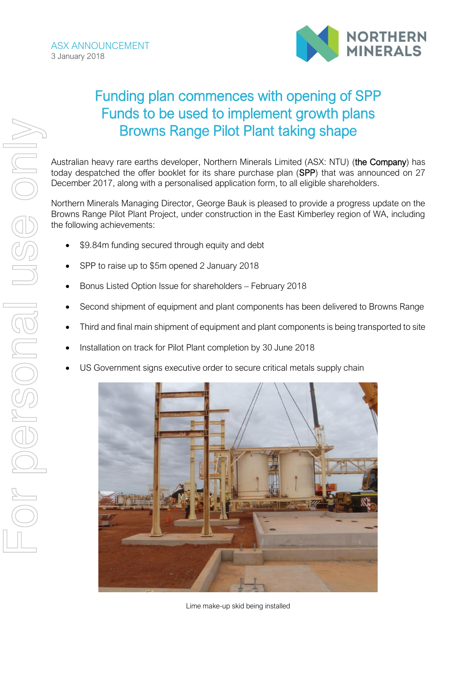

# Funding plan commences with opening of SPP Funds to be used to implement growth plans Browns Range Pilot Plant taking shape

Australian heavy rare earths developer, Northern Minerals Limited (ASX: NTU) (the Company) has today despatched the offer booklet for its share purchase plan (SPP) that was announced on 27 December 2017, along with a personalised application form, to all eligible shareholders.

Northern Minerals Managing Director, George Bauk is pleased to provide a progress update on the Browns Range Pilot Plant Project, under construction in the East Kimberley region of WA, including the following achievements:

- \$9.84m funding secured through equity and debt
- SPP to raise up to \$5m opened 2 January 2018
- Bonus Listed Option Issue for shareholders February 2018
- Second shipment of equipment and plant components has been delivered to Browns Range
- Third and final main shipment of equipment and plant components is being transported to site
- Installation on track for Pilot Plant completion by 30 June 2018
- US Government signs executive order to secure critical metals supply chain



Lime make-up skid being installed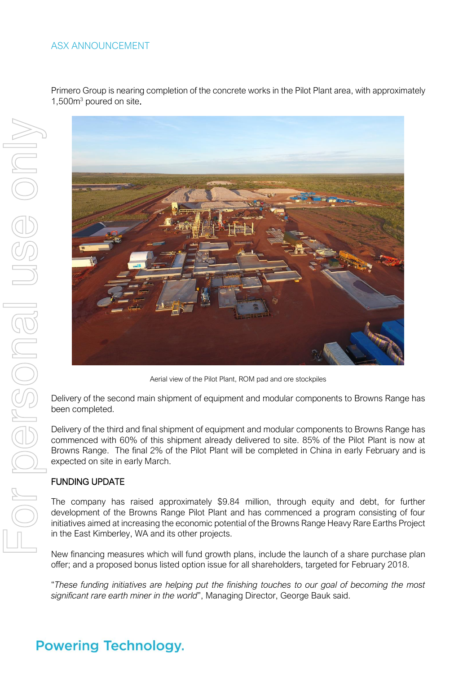### ASX ANNOUNCEMENT

Primero Group is nearing completion of the concrete works in the Pilot Plant area, with approximately 1,500m<sup>3</sup> poured on site.



Aerial view of the Pilot Plant, ROM pad and ore stockpiles

Delivery of the second main shipment of equipment and modular components to Browns Range has been completed.

Delivery of the third and final shipment of equipment and modular components to Browns Range has commenced with 60% of this shipment already delivered to site. 85% of the Pilot Plant is now at Browns Range. The final 2% of the Pilot Plant will be completed in China in early February and is expected on site in early March.

#### FUNDING UPDATE

The company has raised approximately \$9.84 million, through equity and debt, for further development of the Browns Range Pilot Plant and has commenced a program consisting of four initiatives aimed at increasing the economic potential of the Browns Range Heavy Rare Earths Project in the East Kimberley, WA and its other projects.

New financing measures which will fund growth plans, include the launch of a share purchase plan offer; and a proposed bonus listed option issue for all shareholders, targeted for February 2018.

"These funding initiatives are helping put the finishing touches to our goal of becoming the most significant rare earth miner in the world", Managing Director, George Bauk said.

### **Powering Technology.**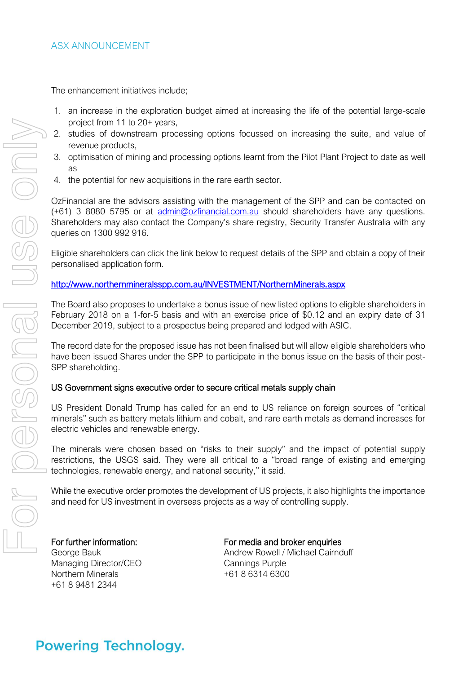The enhancement initiatives include;

- 1. an increase in the exploration budget aimed at increasing the life of the potential large-scale project from 11 to 20+ years,
- 2. studies of downstream processing options focussed on increasing the suite, and value of revenue products,
- 3. optimisation of mining and processing options learnt from the Pilot Plant Project to date as well as
- 4. the potential for new acquisitions in the rare earth sector.

OzFinancial are the advisors assisting with the management of the SPP and can be contacted on (+61) 3 8080 5795 or at [admin@ozfinancial.com.au](mailto:admin@ozfinancial.com.au) should shareholders have any questions. Shareholders may also contact the Company's share registry, Security Transfer Australia with any queries on 1300 992 916.

Eligible shareholders can click the link below to request details of the SPP and obtain a copy of their personalised application form.

### <http://www.northernmineralsspp.com.au/INVESTMENT/NorthernMinerals.aspx>

The Board also proposes to undertake a bonus issue of new listed options to eligible shareholders in February 2018 on a 1-for-5 basis and with an exercise price of \$0.12 and an expiry date of 31 December 2019, subject to a prospectus being prepared and lodged with ASIC.

The record date for the proposed issue has not been finalised but will allow eligible shareholders who have been issued Shares under the SPP to participate in the bonus issue on the basis of their post-SPP shareholding.

#### US Government signs executive order to secure critical metals supply chain

US President Donald Trump has called for an end to US reliance on foreign sources of "critical minerals" such as battery metals lithium and cobalt, and rare earth metals as demand increases for electric vehicles and renewable energy.

The minerals were chosen based on "risks to their supply" and the impact of potential supply restrictions, the USGS said. They were all critical to a "broad range of existing and emerging technologies, renewable energy, and national security," it said.

While the executive order promotes the development of US projects, it also highlights the importance and need for US investment in overseas projects as a way of controlling supply.

Managing Director/CEO Cannings Purple<br>Northern Minerals 1990 1991 1863146300 Northern Minerals +61 8 9481 2344

For further information: For media and broker enquiries George Bauk **Andrew Rowell / Michael Cairnduff** Carry Andrew Rowell / Michael Cairnduff

### **Powering Technology.**